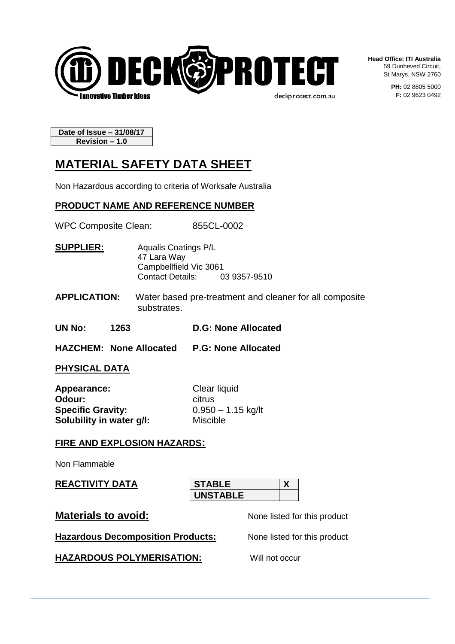

**Head Office: ITI Australia** 59 Dunheved Circuit, St Marys, NSW 2760

> **PH:** 02 8805 5000 **F:** 02 9623 0492

**Date of Issue – 31/08/17 Revision – 1.0**

# **MATERIAL SAFETY DATA SHEET**

Non Hazardous according to criteria of Worksafe Australia

## **PRODUCT NAME AND REFERENCE NUMBER**

WPC Composite Clean: 855CL-0002

**SUPPLIER:** Aqualis Coatings P/L 47 Lara Way Campbellfield Vic 3061<br>Contact Details: 0 03 9357-9510

**APPLICATION:** Water based pre-treatment and cleaner for all composite substrates.

**UN No: 1263 D.G: None Allocated**

**HAZCHEM: None Allocated P.G: None Allocated**

#### **PHYSICAL DATA**

| Appearance:              | Clear liquid         |
|--------------------------|----------------------|
| Odour:                   | citrus               |
| <b>Specific Gravity:</b> | $0.950 - 1.15$ kg/lt |
| Solubility in water g/l: | <b>Miscible</b>      |

## **FIRE AND EXPLOSION HAZARDS:**

Non Flammable

**REACTIVITY DATA**

**STABLE X UNSTABLE**

**Materials to avoid:** None listed for this product

**Hazardous Decomposition Products:** None listed for this product

**HAZARDOUS POLYMERISATION:** Will not occur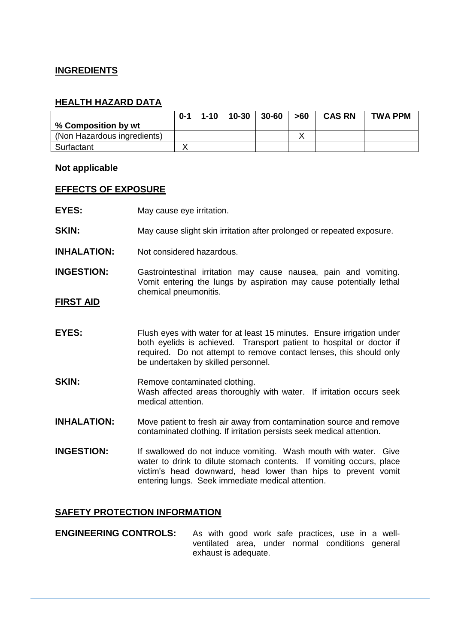## **INGREDIENTS**

## **HEALTH HAZARD DATA**

|                             | $0 - 1$ | $1 - 10$ | $10 - 30$ | $30 - 60$ | >60 | <b>CAS RN</b> | <b>TWA PPM</b> |
|-----------------------------|---------|----------|-----------|-----------|-----|---------------|----------------|
| % Composition by wt         |         |          |           |           |     |               |                |
| (Non Hazardous ingredients) |         |          |           |           |     |               |                |
| Surfactant                  |         |          |           |           |     |               |                |

#### **Not applicable**

#### **EFFECTS OF EXPOSURE**

- **EYES:** May cause eye irritation.
- **SKIN:** May cause slight skin irritation after prolonged or repeated exposure.
- **INHALATION:** Not considered hazardous.
- **INGESTION:** Gastrointestinal irritation may cause nausea, pain and vomiting. Vomit entering the lungs by aspiration may cause potentially lethal chemical pneumonitis.

#### **FIRST AID**

- **EYES:** Flush eyes with water for at least 15 minutes. Ensure irrigation under both eyelids is achieved. Transport patient to hospital or doctor if required. Do not attempt to remove contact lenses, this should only be undertaken by skilled personnel.
- **SKIN:** Remove contaminated clothing. Wash affected areas thoroughly with water. If irritation occurs seek medical attention.
- **INHALATION:** Move patient to fresh air away from contamination source and remove contaminated clothing. If irritation persists seek medical attention.
- **INGESTION:** If swallowed do not induce vomiting. Wash mouth with water. Give water to drink to dilute stomach contents. If vomiting occurs, place victim's head downward, head lower than hips to prevent vomit entering lungs. Seek immediate medical attention.

## **SAFETY PROTECTION INFORMATION**

**ENGINEERING CONTROLS:** As with good work safe practices, use in a wellventilated area, under normal conditions general exhaust is adequate.